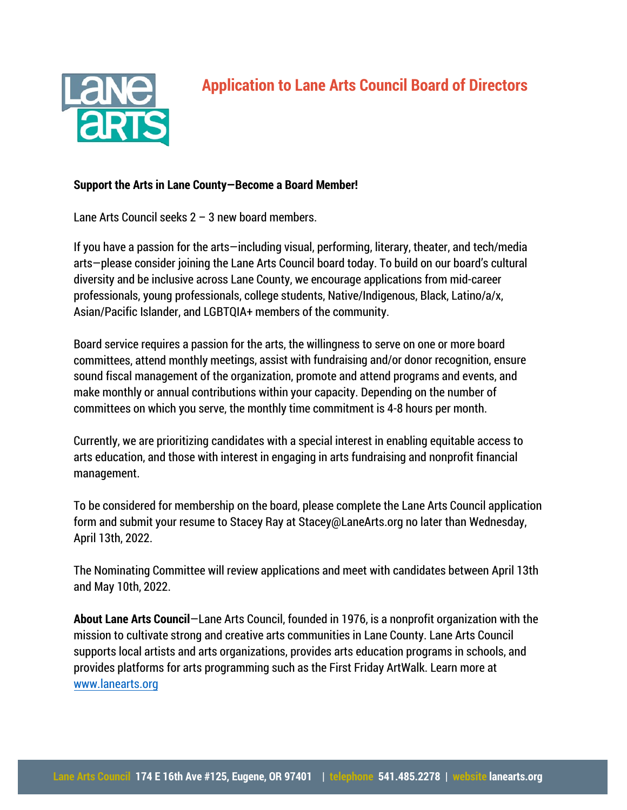

## **Support the Arts in Lane County—Become a Board Member!**

Lane Arts Council seeks 2 – 3 new board members.

If you have a passion for the arts—including visual, performing, literary, theater, and tech/media arts—please consider joining the Lane Arts Council board today. To build on our board's cultural diversity and be inclusive across Lane County, we encourage applications from mid-career professionals, young professionals, college students, Native/Indigenous, Black, Latino/a/x, Asian/Pacific Islander, and LGBTQIA+ members of the community.

Board service requires a passion for the arts, the willingness to serve on one or more board committees, attend monthly meetings, assist with fundraising and/or donor recognition, ensure sound fiscal management of the organization, promote and attend programs and events, and make monthly or annual contributions within your capacity. Depending on the number of committees on which you serve, the monthly time commitment is 4-8 hours per month.

Currently, we are prioritizing candidates with a special interest in enabling equitable access to arts education, and those with interest in engaging in arts fundraising and nonprofit financial management.

To be considered for membership on the board, please complete the Lane Arts Council application form and submit your resume to Stacey Ray at Stacey@LaneArts.org no later than Wednesday, April 13th, 2022.

The Nominating Committee will review applications and meet with candidates between April 13th and May 10th, 2022.

**About Lane Arts Council**—Lane Arts Council, founded in 1976, is a nonprofit organization with the mission to cultivate strong and creative arts communities in Lane County. Lane Arts Council supports local artists and arts organizations, provides arts education programs in schools, and [provides platforms](http://www.lanearts.org/) for arts programming such as the First Friday ArtWalk. Learn more at www.lanearts.org